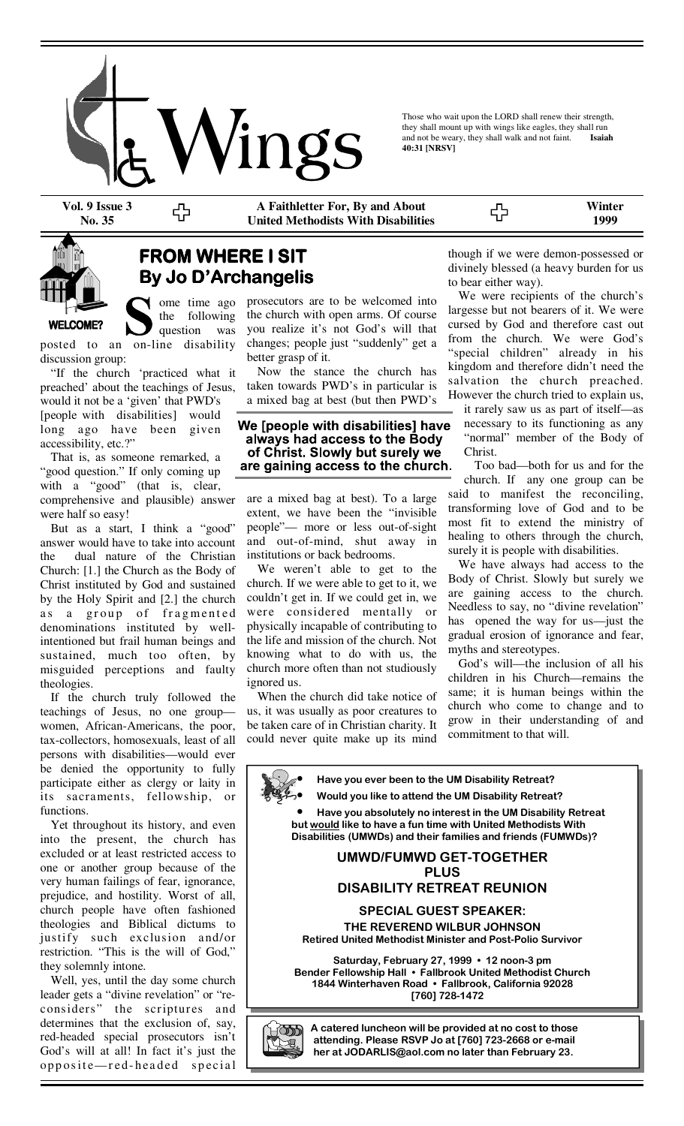

Those who wait upon the LORD shall renew their strength, they shall mount up with wings like eagles, they shall run and not be weary, they shall walk and not faint. **Isaiah** and not be weary, they shall walk and not faint. **40:31 [NRSV]** 

**Vol. 9 Issue 3 No. 35** 

**WELCOME?** 

**A Faithletter For, By and About United Methodists With Disabilities** 

55 **1999** 

**Winter** 

## **FROM WHERE I SIT By Jo D'Archangelis By Jo D'ArchangelisBy Jo D'Archangelis**

ome time ago the following question was

posted to an on-line disability discussion group:

 "If the church 'practiced what it preached' about the teachings of Jesus, would it not be a 'given' that PWD's [people with disabilities] would long ago have been given accessibility, etc.?"

 That is, as someone remarked, a "good question." If only coming up with a "good" (that is, clear, comprehensive and plausible) answer were half so easy!

 But as a start, I think a "good" answer would have to take into account the dual nature of the Christian Church: [1.] the Church as the Body of Christ instituted by God and sustained by the Holy Spirit and [2.] the church as a group of fragmented denominations instituted by wellintentioned but frail human beings and sustained, much too often, by misguided perceptions and faulty theologies.

 If the church truly followed the teachings of Jesus, no one group women, African-Americans, the poor, tax-collectors, homosexuals, least of all persons with disabilities—would ever be denied the opportunity to fully participate either as clergy or laity in its sacraments, fellowship, or functions.

 Yet throughout its history, and even into the present, the church has excluded or at least restricted access to one or another group because of the very human failings of fear, ignorance, prejudice, and hostility. Worst of all, church people have often fashioned theologies and Biblical dictums to justify such exclusion and/or restriction. "This is the will of God," they solemnly intone.

 Well, yes, until the day some church leader gets a "divine revelation" or "reconsiders" the scriptures and determines that the exclusion of, say, red-headed special prosecutors isn't God's will at all! In fact it's just the opposite-red-headed special prosecutors are to be welcomed into the church with open arms. Of course you realize it's not God's will that changes; people just "suddenly" get a better grasp of it.

 Now the stance the church has taken towards PWD's in particular is a mixed bag at best (but then PWD's

#### We [people with disabilities] have always had access to the Body of Christ. Slowly but surely we are gaining access to the church.

are a mixed bag at best). To a large extent, we have been the "invisible people"— more or less out-of-sight and out-of-mind, shut away in institutions or back bedrooms.

 We weren't able to get to the church. If we were able to get to it, we couldn't get in. If we could get in, we were considered mentally or physically incapable of contributing to the life and mission of the church. Not knowing what to do with us, the church more often than not studiously ignored us.

 When the church did take notice of us, it was usually as poor creatures to be taken care of in Christian charity. It could never quite make up its mind though if we were demon-possessed or divinely blessed (a heavy burden for us to bear either way).

 We were recipients of the church's largesse but not bearers of it. We were cursed by God and therefore cast out from the church. We were God's "special children" already in his kingdom and therefore didn't need the salvation the church preached. However the church tried to explain us,

it rarely saw us as part of itself—as necessary to its functioning as any "normal" member of the Body of Christ.

 Too bad—both for us and for the church. If any one group can be said to manifest the reconciling, transforming love of God and to be most fit to extend the ministry of healing to others through the church, surely it is people with disabilities.

 We have always had access to the Body of Christ. Slowly but surely we are gaining access to the church. Needless to say, no "divine revelation" has opened the way for us—just the gradual erosion of ignorance and fear, myths and stereotypes.

 God's will—the inclusion of all his children in his Church—remains the same; it is human beings within the church who come to change and to grow in their understanding of and commitment to that will.

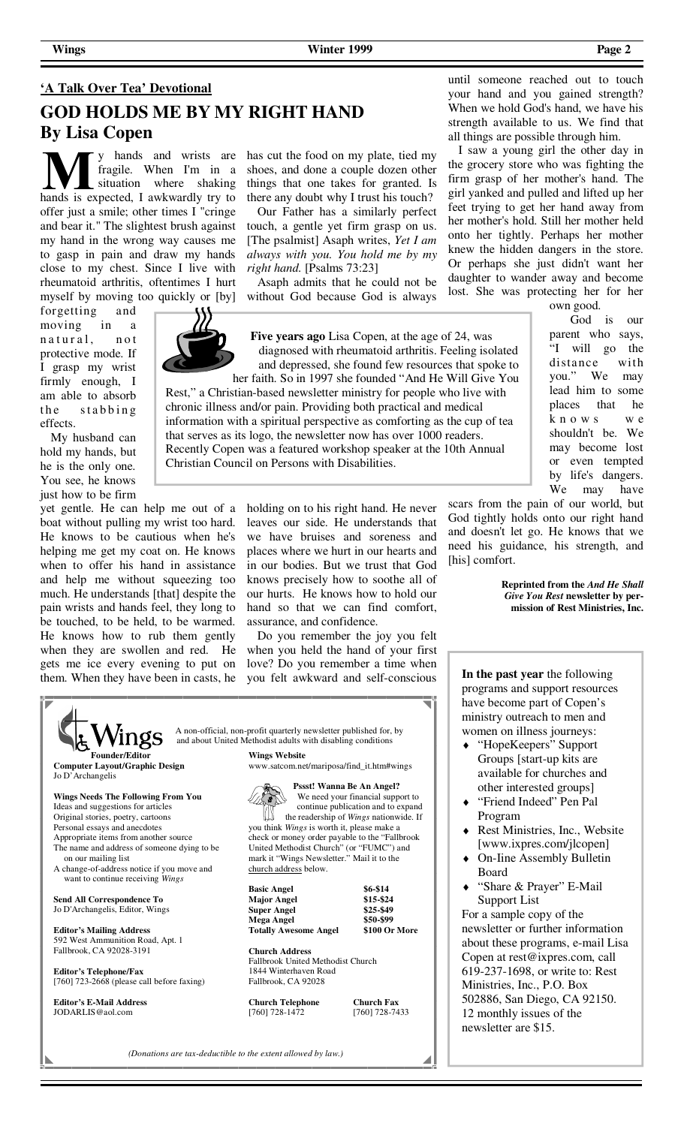# **'A Talk Over Tea' Devotional GOD HOLDS ME BY MY RIGHT HAND By Lisa Copen**

y hands and wrists are fragile. When I'm in a situation where shaking hands is expected, I awkwardly try to offer just a smile; other times I "cringe and bear it." The slightest brush against my hand in the wrong way causes me to gasp in pain and draw my hands close to my chest. Since I live with rheumatoid arthritis, oftentimes I hurt myself by moving too quickly or [by]

forgetting and moving in a n a tural, not protective mode. If I grasp my wrist firmly enough, I am able to absorb the stabbing effects.

 My husband can hold my hands, but he is the only one. You see, he knows just how to be firm

yet gentle. He can help me out of a boat without pulling my wrist too hard. He knows to be cautious when he's helping me get my coat on. He knows when to offer his hand in assistance and help me without squeezing too much. He understands [that] despite the pain wrists and hands feel, they long to be touched, to be held, to be warmed. He knows how to rub them gently when they are swollen and red. He gets me ice every evening to put on them. When they have been in casts, he

has cut the food on my plate, tied my shoes, and done a couple dozen other things that one takes for granted. Is there any doubt why I trust his touch?

 Our Father has a similarly perfect touch, a gentle yet firm grasp on us. [The psalmist] Asaph writes, *Yet I am always with you. You hold me by my right hand.* [Psalms 73:23]

 Asaph admits that he could not be without God because God is always

**Five years ago** Lisa Copen, at the age of 24, was diagnosed with rheumatoid arthritis. Feeling isolated and depressed, she found few resources that spoke to

Rest," a Christian-based newsletter ministry for people who live with chronic illness and/or pain. Providing both practical and medical information with a spiritual perspective as comforting as the cup of tea that serves as its logo, the newsletter now has over 1000 readers. Recently Copen was a featured workshop speaker at the 10th Annual

> holding on to his right hand. He never leaves our side. He understands that we have bruises and soreness and places where we hurt in our hearts and in our bodies. But we trust that God knows precisely how to soothe all of our hurts. He knows how to hold our hand so that we can find comfort, assurance, and confidence.

> Do you remember the joy you felt when you held the hand of your first love? Do you remember a time when you felt awkward and self-conscious

| าgs                                                                            | A non-official, non-profit quarterly newsletter published for, by |                   |
|--------------------------------------------------------------------------------|-------------------------------------------------------------------|-------------------|
|                                                                                | and about United Methodist adults with disabling conditions       |                   |
| <b>Founder/Editor</b>                                                          | <b>Wings Website</b>                                              |                   |
| <b>Computer Layout/Graphic Design</b><br>Jo D'Archangelis                      | www.satcom.net/mariposa/find_it.htm#wings                         |                   |
|                                                                                | <b>Pssst! Wanna Be An Angel?</b>                                  |                   |
| Wings Needs The Following From You                                             | We need your financial support to                                 |                   |
| Ideas and suggestions for articles                                             | continue publication and to expand                                |                   |
| Original stories, poetry, cartoons                                             | the readership of Wings nationwide. If                            |                   |
| Personal essays and anecdotes                                                  | you think <i>Wings</i> is worth it, please make a                 |                   |
| Appropriate items from another source                                          | check or money order payable to the "Fallbrook                    |                   |
| The name and address of someone dying to be                                    | United Methodist Church" (or "FUMC") and                          |                   |
| on our mailing list                                                            | mark it "Wings Newsletter." Mail it to the                        |                   |
| A change-of-address notice if you move and<br>want to continue receiving Wings | church address below.                                             |                   |
|                                                                                | <b>Basic Angel</b>                                                | $$6 - $14$        |
| Send All Correspondence To                                                     | <b>Major Angel</b>                                                | \$15-\$24         |
| Jo D'Archangelis, Editor, Wings                                                | <b>Super Angel</b>                                                | \$25-\$49         |
|                                                                                | <b>Mega Angel</b>                                                 | \$50-\$99         |
| <b>Editor's Mailing Address</b>                                                | <b>Totally Awesome Angel</b>                                      | \$100 Or More     |
| 592 West Ammunition Road, Apt. 1                                               |                                                                   |                   |
| Fallbrook, CA 92028-3191                                                       | <b>Church Address</b>                                             |                   |
|                                                                                | Fallbrook United Methodist Church                                 |                   |
| <b>Editor's Telephone/Fax</b>                                                  | 1844 Winterhaven Road                                             |                   |
| $[760]$ 723-2668 (please call before faxing)                                   | Fallbrook, CA 92028                                               |                   |
| <b>Editor's E-Mail Address</b>                                                 | <b>Church Telephone</b>                                           | <b>Church Fax</b> |
| JODARLIS@aol.com                                                               | [760] 728-1472                                                    | [760] 728-7433    |

(Donations are tax-deductible to the extent allowed by law.)

until someone reached out to touch your hand and you gained strength? When we hold God's hand, we have his strength available to us. We find that all things are possible through him.

 I saw a young girl the other day in the grocery store who was fighting the firm grasp of her mother's hand. The girl yanked and pulled and lifted up her feet trying to get her hand away from her mother's hold. Still her mother held onto her tightly. Perhaps her mother knew the hidden dangers in the store. Or perhaps she just didn't want her daughter to wander away and become lost. She was protecting her for her

own good.

 God is our parent who says, "I will go the distance with you." We may lead him to some places that he k n o w s w e shouldn't be. We may become lost or even tempted by life's dangers. We may have

scars from the pain of our world, but God tightly holds onto our right hand and doesn't let go. He knows that we need his guidance, his strength, and [his] comfort.

> **Reprinted from the** *And He Shall Give You Rest* **newsletter by permission of Rest Ministries, Inc.**

**In the past year** the following programs and support resources have become part of Copen's ministry outreach to men and women on illness journeys:

- "HopeKeepers" Support Groups [start-up kits are available for churches and other interested groups]
- "Friend Indeed" Pen Pal Program
- Rest Ministries, Inc., Website [www.ixpres.com/jlcopen]
- On-Iine Assembly Bulletin Board
- "Share & Prayer" E-Mail Support List

For a sample copy of the newsletter or further information about these programs, e-mail Lisa Copen at rest@ixpres.com, call 619-237-1698, or write to: Rest Ministries, Inc., P.O. Box 502886, San Diego, CA 92150. 12 monthly issues of the newsletter are \$15.

◢▎

her faith. So in 1997 she founded "And He Will Give You

Christian Council on Persons with Disabilities.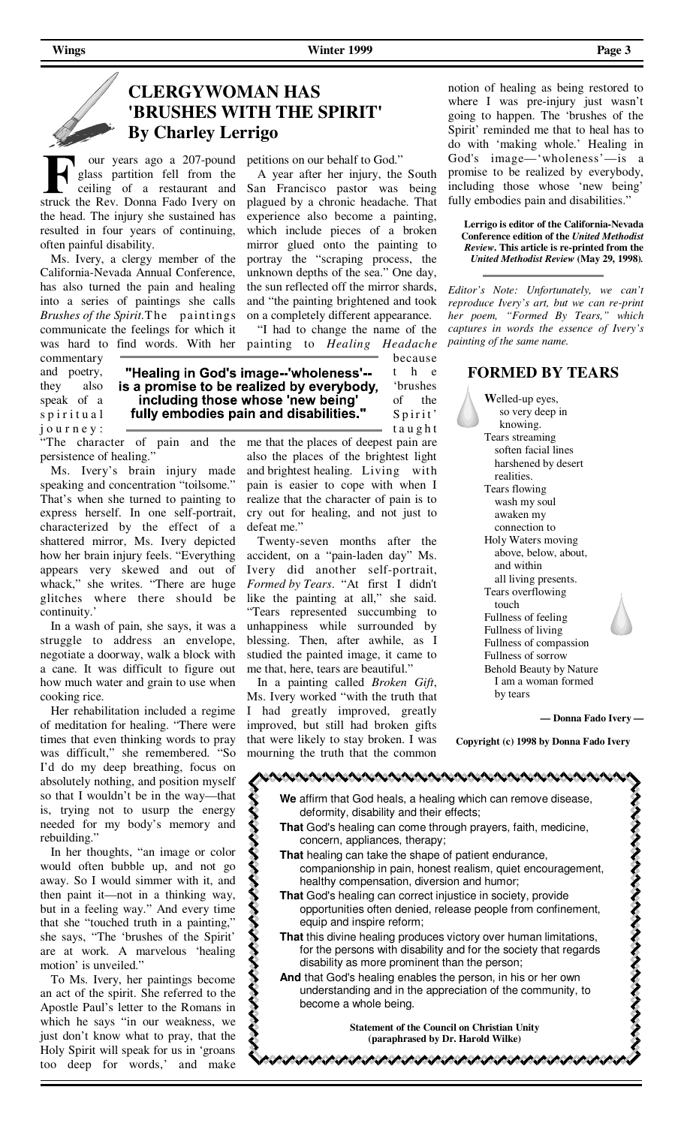petitions on our behalf to God."

 A year after her injury, the South San Francisco pastor was being plagued by a chronic headache. That experience also become a painting, which include pieces of a broken mirror glued onto the painting to portray the "scraping process, the unknown depths of the sea." One day, the sun reflected off the mirror shards, and "the painting brightened and took on a completely different appearance. "I had to change the name of the painting to *Healing Headache*

## **CLERGYWOMAN HAS 'BRUSHES WITH THE SPIRIT' By Charley Lerrigo**

 our years ago a 207-pound glass partition fell from the ceiling of a restaurant and struck the Rev. Donna Fado Ivery on the head. The injury she sustained has resulted in four years of continuing, often painful disability.

 Ms. Ivery, a clergy member of the California-Nevada Annual Conference, has also turned the pain and healing into a series of paintings she calls *Brushes of the Spirit.* The paintings communicate the feelings for which it was hard to find words. With her

commentary and poetry, they also speak of a spiritual j o u r n e y :

because "Healing in God's image--'wholeness'-t h e is a promise to be realized by everybody, 'brushes including those whose 'new being' of the fully embodies pain and disabilities."  $S$  p i r i t'

くくくく

"The character of pain and the persistence of healing."

 Ms. Ivery's brain injury made speaking and concentration "toilsome." That's when she turned to painting to express herself. In one self-portrait, characterized by the effect of a shattered mirror, Ms. Ivery depicted how her brain injury feels. "Everything appears very skewed and out of whack," she writes. "There are huge glitches where there should be continuity.'

 In a wash of pain, she says, it was a struggle to address an envelope, negotiate a doorway, walk a block with a cane. It was difficult to figure out how much water and grain to use when cooking rice.

 Her rehabilitation included a regime of meditation for healing. "There were times that even thinking words to pray was difficult," she remembered. "So I'd do my deep breathing, focus on absolutely nothing, and position myself so that I wouldn't be in the way—that is, trying not to usurp the energy needed for my body's memory and rebuilding."

 In her thoughts, "an image or color would often bubble up, and not go away. So I would simmer with it, and then paint it—not in a thinking way, but in a feeling way." And every time that she "touched truth in a painting," she says, "The 'brushes of the Spirit' are at work. A marvelous 'healing motion' is unveiled."

 To Ms. Ivery, her paintings become an act of the spirit. She referred to the Apostle Paul's letter to the Romans in which he says "in our weakness, we just don't know what to pray, that the Holy Spirit will speak for us in 'groans too deep for words,' and make

t a u g h t me that the places of deepest pain are also the places of the brightest light and brightest healing. Living with pain is easier to cope with when I realize that the character of pain is to cry out for healing, and not just to defeat me."

 Twenty-seven months after the accident, on a "pain-laden day" Ms. Ivery did another self-portrait, *Formed by Tears*. "At first I didn't like the painting at all," she said. "Tears represented succumbing to unhappiness while surrounded by blessing. Then, after awhile, as I studied the painted image, it came to me that, here, tears are beautiful."

 In a painting called *Broken Gift*, Ms. Ivery worked "with the truth that I had greatly improved, greatly improved, but still had broken gifts that were likely to stay broken. I was mourning the truth that the common

notion of healing as being restored to where I was pre-injury just wasn't going to happen. The 'brushes of the Spirit' reminded me that to heal has to do with 'making whole.' Healing in God's image—'wholeness'—is a promise to be realized by everybody, including those whose 'new being' fully embodies pain and disabilities."

**Lerrigo is editor of the California-Nevada Conference edition of the** *United Methodist Review***. This article is re-printed from the**  *United Methodist Review* **(May 29, 1998)***.*

*Editor's Note: Unfortunately, we can't reproduce Ivery's art, but we can re-print her poem, "Formed By Tears," which captures in words the essence of Ivery's painting of the same name.* 

#### **FORMED BY TEARS**

 **W**elled-up eyes, so very deep in knowing. Tears streaming soften facial lines harshened by desert realities. Tears flowing wash my soul awaken my connection to Holy Waters moving above, below, about, and within all living presents. Tears overflowing touch Fullness of feeling Fullness of living Fullness of compassion Fullness of sorrow Behold Beauty by Nature I am a woman formed by tears

**— Donna Fado Ivery —**

**Copyright (c) 1998 by Donna Fado Ivery**

こくそくさくてきこくさくさくさくさくさく **We** affirm that God heals, a healing which can remove disease, deformity, disability and their effects; **That** God's healing can come through prayers, faith, medicine, concern, appliances, therapy; **That** healing can take the shape of patient endurance, companionship in pain, honest realism, quiet encouragement, healthy compensation, diversion and humor; **That** God's healing can correct injustice in society, provide opportunities often denied, release people from confinement, equip and inspire reform; **That** this divine healing produces victory over human limitations, for the persons with disability and for the society that regards disability as more prominent than the person; **And** that God's healing enables the person, in his or her own

understanding and in the appreciation of the community, to become a whole being.

> **Statement of the Council on Christian Unity (paraphrased by Dr. Harold Wilke)**

こうこうこうこうこうこうこうこうこうこうこうこう こうこうこうこうこうこう